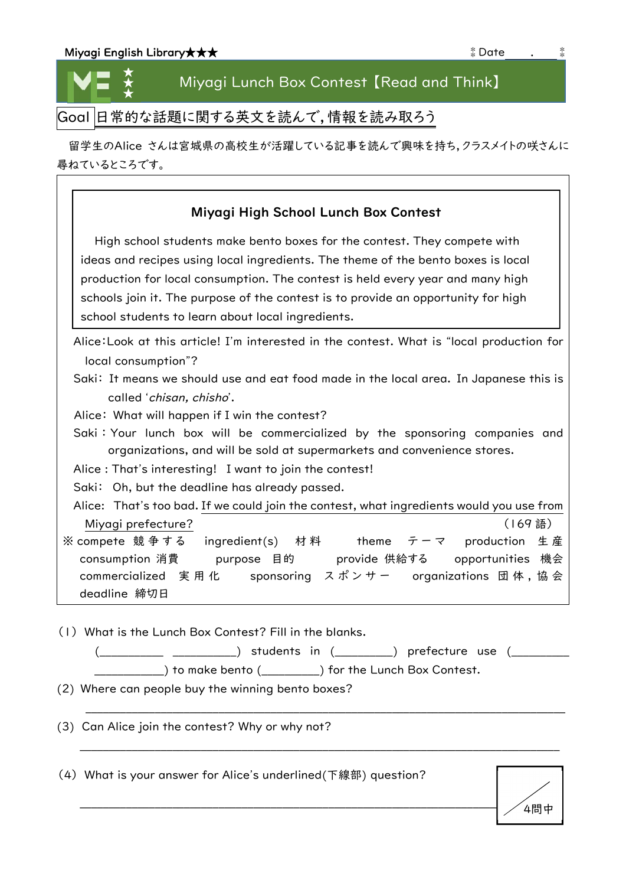| Miyagi English Library★★★ | * Date |  |
|---------------------------|--------|--|
|---------------------------|--------|--|

★ ★ ★

## Miyagi Lunch Box Contest 【Read and Think】

Goal 日常的な話題に関する英文を読んで,情報を読み取ろう

留学生のAlice さんは宮城県の高校生が活躍している記事を読んで興味を持ち,クラスメイトの咲さんに 尋ねているところです。

| Miyagi High School Lunch Box Contest                                                      |  |  |  |
|-------------------------------------------------------------------------------------------|--|--|--|
| High school students make bento boxes for the contest. They compete with                  |  |  |  |
| ideas and recipes using local ingredients. The theme of the bento boxes is local          |  |  |  |
| production for local consumption. The contest is held every year and many high            |  |  |  |
| schools join it. The purpose of the contest is to provide an opportunity for high         |  |  |  |
| school students to learn about local ingredients.                                         |  |  |  |
| Alice: Look at this article! I'm interested in the contest. What is "local production for |  |  |  |
| local consumption"?                                                                       |  |  |  |
| Saki: It means we should use and eat food made in the local area. In Japanese this is     |  |  |  |
| called 'chisan, chisho'.                                                                  |  |  |  |
| Alice: What will happen if I win the contest?                                             |  |  |  |
| Saki: Your lunch box will be commercialized by the sponsoring companies and               |  |  |  |
| organizations, and will be sold at supermarkets and convenience stores.                   |  |  |  |
| Alice: That's interesting! I want to join the contest!                                    |  |  |  |
| Saki: Oh, but the deadline has already passed.                                            |  |  |  |
| Alice: That's too bad. If we could join the contest, what ingredients would you use from  |  |  |  |
| (169語)<br>Miyagi prefecture?                                                              |  |  |  |
| ※ compete 競争する  ingredient(s)  材料<br>テーマ production 生産<br>theme                           |  |  |  |
| consumption 消費<br>purpose 目的 provide 供給する opportunities 機会                                |  |  |  |
| commercialized 実用化 sponsoring スポンサー organizations 団体,協会                                   |  |  |  |
| deadline 締切日                                                                              |  |  |  |

(1) What is the Lunch Box Contest? Fill in the blanks.

| students in (     | ) prefecture use             |
|-------------------|------------------------------|
| ) to make bento ( | ) for the Lunch Box Contest. |

\_\_\_\_\_\_\_\_\_\_\_\_\_\_\_\_\_\_\_\_\_\_\_\_\_\_\_\_\_\_\_\_\_\_\_\_\_\_\_\_\_\_\_\_\_\_\_\_\_\_\_\_\_\_\_\_\_\_\_\_\_\_\_\_\_\_\_\_\_\_\_\_\_\_\_\_\_\_\_\_\_\_\_

\_\_\_\_\_\_\_\_\_\_\_\_\_\_\_\_\_\_\_\_\_\_\_\_\_\_\_\_\_\_\_\_\_\_\_\_\_\_\_\_\_\_\_\_\_\_\_\_\_\_\_\_\_\_\_\_\_\_\_\_\_\_\_\_\_\_\_\_\_\_\_\_\_\_\_\_\_\_\_\_\_\_\_

(2) Where can people buy the winning bento boxes?

(3) Can Alice join the contest? Why or why not?

(4) What is your answer for Alice's underlined(下線部) question?